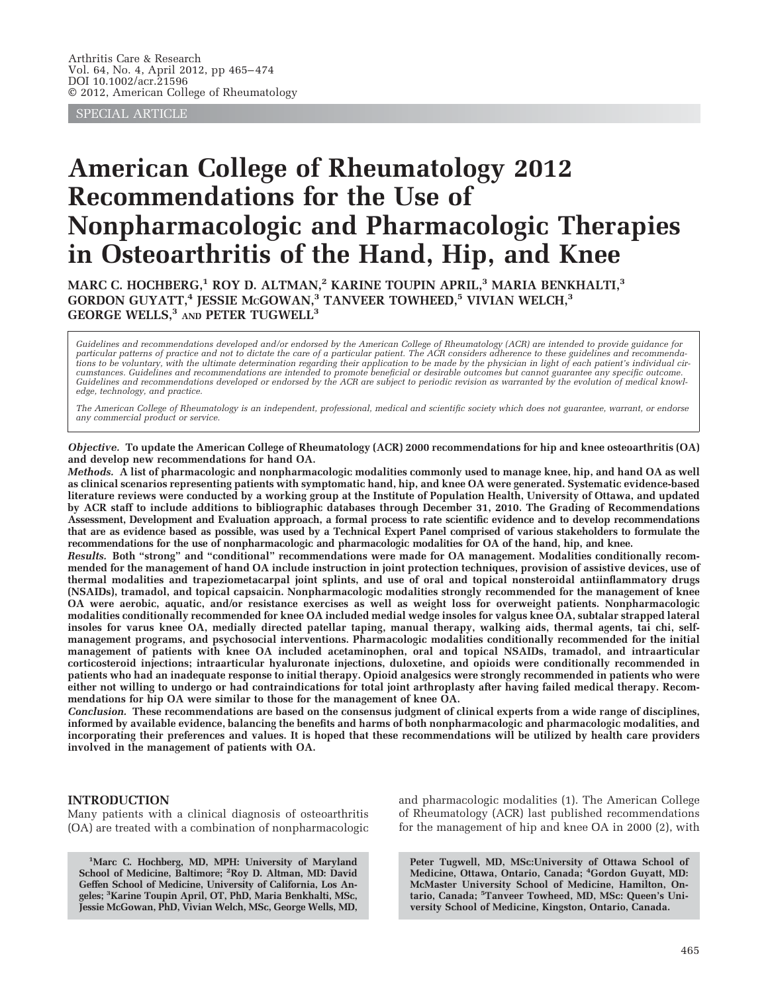SPECIAL ARTICLE

# **American College of Rheumatology 2012 Recommendations for the Use of Nonpharmacologic and Pharmacologic Therapies in Osteoarthritis of the Hand, Hip, and Knee**

**MARC C. HOCHBERG,1 ROY D. ALTMAN,2 KARINE TOUPIN APRIL,3 MARIA BENKHALTI,3 GORDON GUYATT,4 JESSIE MCGOWAN,3 TANVEER TOWHEED,5 VIVIAN WELCH,3 GEORGE WELLS,3 AND PETER TUGWELL3**

*Guidelines and recommendations developed and/or endorsed by the American College of Rheumatology (ACR) are intended to provide guidance for* particular patterns of practice and not to dictate the care of a particular patient. The ACR considers adherence to these guidelines and recommenda-<br>tions to be voluntary, with the ultimate determination regarding their ap *Guidelines and recommendations developed or endorsed by the ACR are subject to periodic revision as warranted by the evolution of medical knowledge, technology, and practice.*

*The American College of Rheumatology is an independent, professional, medical and scientific society which does not guarantee, warrant, or endorse any commercial product or service.*

*Objective.* **To update the American College of Rheumatology (ACR) 2000 recommendations for hip and knee osteoarthritis (OA) and develop new recommendations for hand OA.**

*Methods.* **A list of pharmacologic and nonpharmacologic modalities commonly used to manage knee, hip, and hand OA as well as clinical scenarios representing patients with symptomatic hand, hip, and knee OA were generated. Systematic evidence-based literature reviews were conducted by a working group at the Institute of Population Health, University of Ottawa, and updated by ACR staff to include additions to bibliographic databases through December 31, 2010. The Grading of Recommendations Assessment, Development and Evaluation approach, a formal process to rate scientific evidence and to develop recommendations that are as evidence based as possible, was used by a Technical Expert Panel comprised of various stakeholders to formulate the recommendations for the use of nonpharmacologic and pharmacologic modalities for OA of the hand, hip, and knee.**

*Results.* **Both "strong" and "conditional" recommendations were made for OA management. Modalities conditionally recommended for the management of hand OA include instruction in joint protection techniques, provision of assistive devices, use of thermal modalities and trapeziometacarpal joint splints, and use of oral and topical nonsteroidal antiinflammatory drugs (NSAIDs), tramadol, and topical capsaicin. Nonpharmacologic modalities strongly recommended for the management of knee OA were aerobic, aquatic, and/or resistance exercises as well as weight loss for overweight patients. Nonpharmacologic modalities conditionally recommended for knee OA included medial wedge insoles for valgus knee OA, subtalar strapped lateral insoles for varus knee OA, medially directed patellar taping, manual therapy, walking aids, thermal agents, tai chi, selfmanagement programs, and psychosocial interventions. Pharmacologic modalities conditionally recommended for the initial management of patients with knee OA included acetaminophen, oral and topical NSAIDs, tramadol, and intraarticular corticosteroid injections; intraarticular hyaluronate injections, duloxetine, and opioids were conditionally recommended in patients who had an inadequate response to initial therapy. Opioid analgesics were strongly recommended in patients who were either not willing to undergo or had contraindications for total joint arthroplasty after having failed medical therapy. Recommendations for hip OA were similar to those for the management of knee OA.**

*Conclusion.* **These recommendations are based on the consensus judgment of clinical experts from a wide range of disciplines, informed by available evidence, balancing the benefits and harms of both nonpharmacologic and pharmacologic modalities, and incorporating their preferences and values. It is hoped that these recommendations will be utilized by health care providers involved in the management of patients with OA.**

#### **INTRODUCTION**

Many patients with a clinical diagnosis of osteoarthritis (OA) are treated with a combination of nonpharmacologic

**1 Marc C. Hochberg, MD, MPH: University of Maryland School of Medicine, Baltimore; <sup>2</sup> Roy D. Altman, MD: David Geffen School of Medicine, University of California, Los Angeles; <sup>3</sup> Karine Toupin April, OT, PhD, Maria Benkhalti, MSc, Jessie McGowan, PhD, Vivian Welch, MSc, George Wells, MD,**

and pharmacologic modalities (1). The American College of Rheumatology (ACR) last published recommendations for the management of hip and knee OA in 2000 (2), with

**Peter Tugwell, MD, MSc:University of Ottawa School of Medicine, Ottawa, Ontario, Canada; <sup>4</sup> Gordon Guyatt, MD: McMaster University School of Medicine, Hamilton, Ontario, Canada; <sup>5</sup> Tanveer Towheed, MD, MSc: Queen's University School of Medicine, Kingston, Ontario, Canada.**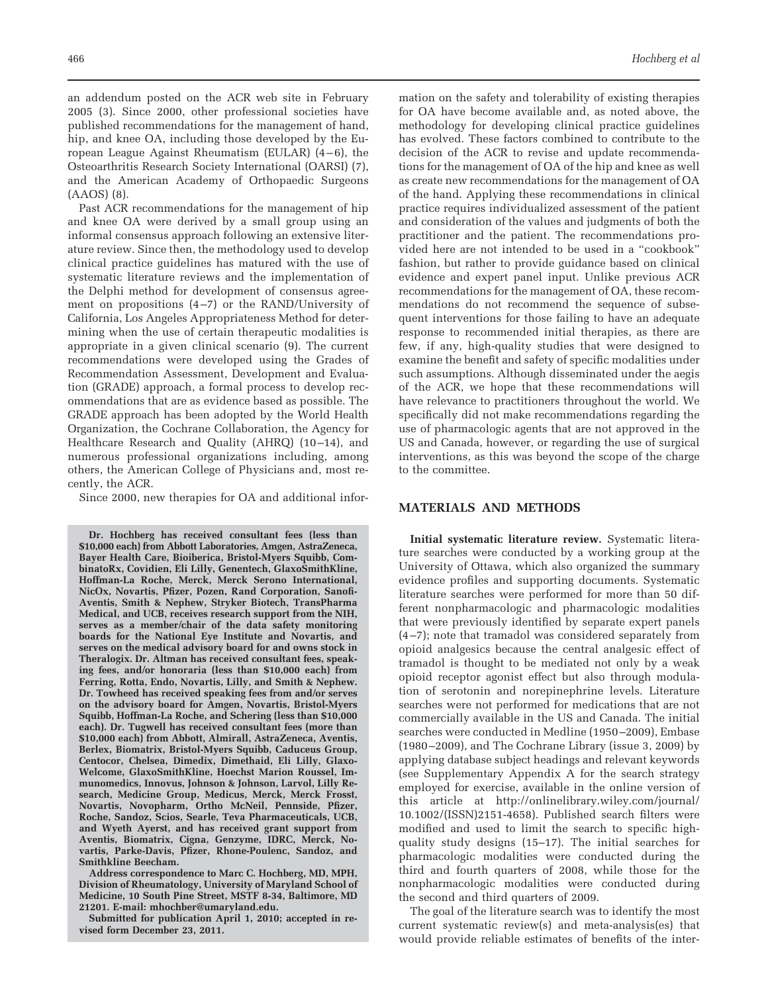an addendum posted on the ACR web site in February 2005 (3). Since 2000, other professional societies have published recommendations for the management of hand, hip, and knee OA, including those developed by the European League Against Rheumatism (EULAR)  $(4-6)$ , the Osteoarthritis Research Society International (OARSI) (7), and the American Academy of Orthopaedic Surgeons (AAOS) (8).

Past ACR recommendations for the management of hip and knee OA were derived by a small group using an informal consensus approach following an extensive literature review. Since then, the methodology used to develop clinical practice guidelines has matured with the use of systematic literature reviews and the implementation of the Delphi method for development of consensus agreement on propositions (4 –7) or the RAND/University of California, Los Angeles Appropriateness Method for determining when the use of certain therapeutic modalities is appropriate in a given clinical scenario (9). The current recommendations were developed using the Grades of Recommendation Assessment, Development and Evaluation (GRADE) approach, a formal process to develop recommendations that are as evidence based as possible. The GRADE approach has been adopted by the World Health Organization, the Cochrane Collaboration, the Agency for Healthcare Research and Quality (AHRQ) (10–14), and numerous professional organizations including, among others, the American College of Physicians and, most recently, the ACR.

Since 2000, new therapies for OA and additional infor-

**Dr. Hochberg has received consultant fees (less than \$10,000 each) from Abbott Laboratories, Amgen, AstraZeneca, Bayer Health Care, Bioiberica, Bristol-Myers Squibb, CombinatoRx, Covidien, Eli Lilly, Genentech, GlaxoSmithKline, Hoffman-La Roche, Merck, Merck Serono International, NicOx, Novartis, Pfizer, Pozen, Rand Corporation, Sanofi-Aventis, Smith & Nephew, Stryker Biotech, TransPharma Medical, and UCB, receives research support from the NIH, serves as a member/chair of the data safety monitoring boards for the National Eye Institute and Novartis, and serves on the medical advisory board for and owns stock in Theralogix. Dr. Altman has received consultant fees, speaking fees, and/or honoraria (less than \$10,000 each) from Ferring, Rotta, Endo, Novartis, Lilly, and Smith & Nephew. Dr. Towheed has received speaking fees from and/or serves on the advisory board for Amgen, Novartis, Bristol-Myers Squibb, Hoffman-La Roche, and Schering (less than \$10,000 each). Dr. Tugwell has received consultant fees (more than \$10,000 each) from Abbott, Almirall, AstraZeneca, Aventis, Berlex, Biomatrix, Bristol-Myers Squibb, Caduceus Group, Centocor, Chelsea, Dimedix, Dimethaid, Eli Lilly, Glaxo-Welcome, GlaxoSmithKline, Hoechst Marion Roussel, Immunomedics, Innovus, Johnson & Johnson, Larvol, Lilly Research, Medicine Group, Medicus, Merck, Merck Frosst, Novartis, Novopharm, Ortho McNeil, Pennside, Pfizer, Roche, Sandoz, Scios, Searle, Teva Pharmaceuticals, UCB, and Wyeth Ayerst, and has received grant support from Aventis, Biomatrix, Cigna, Genzyme, IDRC, Merck, Novartis, Parke-Davis, Pfizer, Rhone-Poulenc, Sandoz, and Smithkline Beecham.**

**Address correspondence to Marc C. Hochberg, MD, MPH, Division of Rheumatology, University of Maryland School of Medicine, 10 South Pine Street, MSTF 8-34, Baltimore, MD 21201. E-mail: mhochber@umaryland.edu.**

**Submitted for publication April 1, 2010; accepted in revised form December 23, 2011.**

mation on the safety and tolerability of existing therapies for OA have become available and, as noted above, the methodology for developing clinical practice guidelines has evolved. These factors combined to contribute to the decision of the ACR to revise and update recommendations for the management of OA of the hip and knee as well as create new recommendations for the management of OA of the hand. Applying these recommendations in clinical practice requires individualized assessment of the patient and consideration of the values and judgments of both the practitioner and the patient. The recommendations provided here are not intended to be used in a "cookbook" fashion, but rather to provide guidance based on clinical evidence and expert panel input. Unlike previous ACR recommendations for the management of OA, these recommendations do not recommend the sequence of subsequent interventions for those failing to have an adequate response to recommended initial therapies, as there are few, if any, high-quality studies that were designed to examine the benefit and safety of specific modalities under such assumptions. Although disseminated under the aegis of the ACR, we hope that these recommendations will have relevance to practitioners throughout the world. We specifically did not make recommendations regarding the use of pharmacologic agents that are not approved in the US and Canada, however, or regarding the use of surgical interventions, as this was beyond the scope of the charge to the committee.

# **MATERIALS AND METHODS**

**Initial systematic literature review.** Systematic literature searches were conducted by a working group at the University of Ottawa, which also organized the summary evidence profiles and supporting documents. Systematic literature searches were performed for more than 50 different nonpharmacologic and pharmacologic modalities that were previously identified by separate expert panels (4 –7); note that tramadol was considered separately from opioid analgesics because the central analgesic effect of tramadol is thought to be mediated not only by a weak opioid receptor agonist effect but also through modulation of serotonin and norepinephrine levels. Literature searches were not performed for medications that are not commercially available in the US and Canada. The initial searches were conducted in Medline (1950 –2009), Embase (1980 –2009), and The Cochrane Library (issue 3, 2009) by applying database subject headings and relevant keywords (see Supplementary Appendix A for the search strategy employed for exercise, available in the online version of this article at http://onlinelibrary.wiley.com/journal/ 10.1002/(ISSN)2151-4658). Published search filters were modified and used to limit the search to specific highquality study designs (15–17). The initial searches for pharmacologic modalities were conducted during the third and fourth quarters of 2008, while those for the nonpharmacologic modalities were conducted during the second and third quarters of 2009.

The goal of the literature search was to identify the most current systematic review(s) and meta-analysis(es) that would provide reliable estimates of benefits of the inter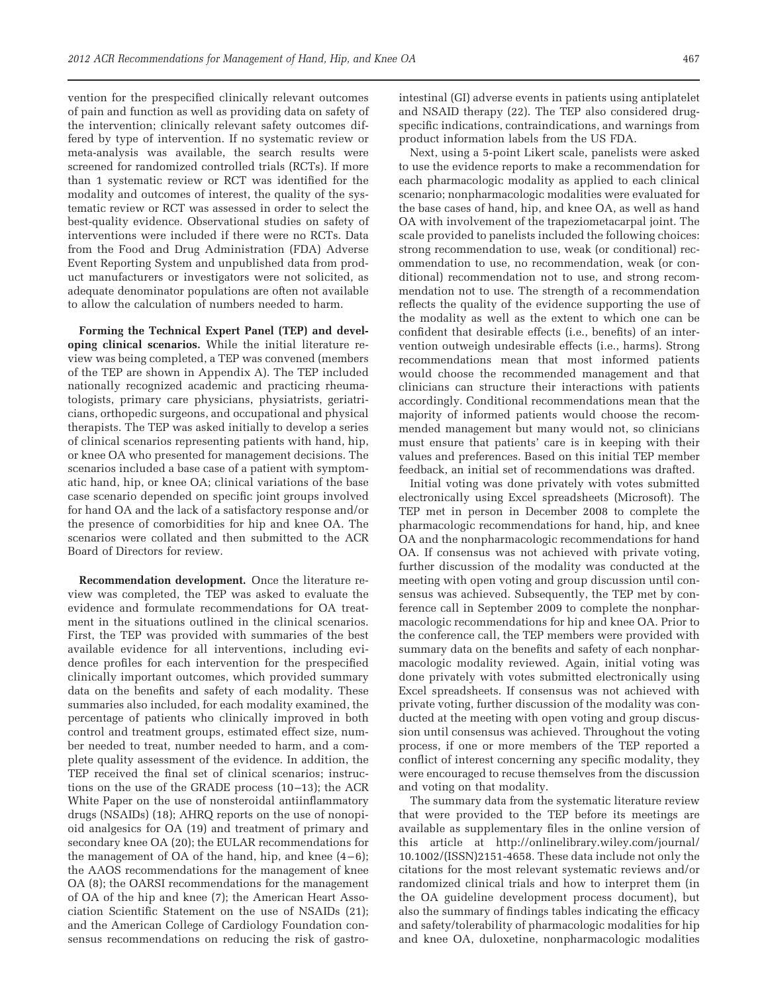vention for the prespecified clinically relevant outcomes of pain and function as well as providing data on safety of the intervention; clinically relevant safety outcomes differed by type of intervention. If no systematic review or meta-analysis was available, the search results were screened for randomized controlled trials (RCTs). If more than 1 systematic review or RCT was identified for the modality and outcomes of interest, the quality of the systematic review or RCT was assessed in order to select the best-quality evidence. Observational studies on safety of interventions were included if there were no RCTs. Data from the Food and Drug Administration (FDA) Adverse Event Reporting System and unpublished data from product manufacturers or investigators were not solicited, as adequate denominator populations are often not available to allow the calculation of numbers needed to harm.

**Forming the Technical Expert Panel (TEP) and developing clinical scenarios.** While the initial literature review was being completed, a TEP was convened (members of the TEP are shown in Appendix A). The TEP included nationally recognized academic and practicing rheumatologists, primary care physicians, physiatrists, geriatricians, orthopedic surgeons, and occupational and physical therapists. The TEP was asked initially to develop a series of clinical scenarios representing patients with hand, hip, or knee OA who presented for management decisions. The scenarios included a base case of a patient with symptomatic hand, hip, or knee OA; clinical variations of the base case scenario depended on specific joint groups involved for hand OA and the lack of a satisfactory response and/or the presence of comorbidities for hip and knee OA. The scenarios were collated and then submitted to the ACR Board of Directors for review.

**Recommendation development.** Once the literature review was completed, the TEP was asked to evaluate the evidence and formulate recommendations for OA treatment in the situations outlined in the clinical scenarios. First, the TEP was provided with summaries of the best available evidence for all interventions, including evidence profiles for each intervention for the prespecified clinically important outcomes, which provided summary data on the benefits and safety of each modality. These summaries also included, for each modality examined, the percentage of patients who clinically improved in both control and treatment groups, estimated effect size, number needed to treat, number needed to harm, and a complete quality assessment of the evidence. In addition, the TEP received the final set of clinical scenarios; instructions on the use of the GRADE process (10 –13); the ACR White Paper on the use of nonsteroidal antiinflammatory drugs (NSAIDs) (18); AHRQ reports on the use of nonopioid analgesics for OA (19) and treatment of primary and secondary knee OA (20); the EULAR recommendations for the management of OA of the hand, hip, and knee  $(4-6)$ ; the AAOS recommendations for the management of knee OA (8); the OARSI recommendations for the management of OA of the hip and knee (7); the American Heart Association Scientific Statement on the use of NSAIDs (21); and the American College of Cardiology Foundation consensus recommendations on reducing the risk of gastrointestinal (GI) adverse events in patients using antiplatelet and NSAID therapy (22). The TEP also considered drugspecific indications, contraindications, and warnings from product information labels from the US FDA.

Next, using a 5-point Likert scale, panelists were asked to use the evidence reports to make a recommendation for each pharmacologic modality as applied to each clinical scenario; nonpharmacologic modalities were evaluated for the base cases of hand, hip, and knee OA, as well as hand OA with involvement of the trapeziometacarpal joint. The scale provided to panelists included the following choices: strong recommendation to use, weak (or conditional) recommendation to use, no recommendation, weak (or conditional) recommendation not to use, and strong recommendation not to use. The strength of a recommendation reflects the quality of the evidence supporting the use of the modality as well as the extent to which one can be confident that desirable effects (i.e., benefits) of an intervention outweigh undesirable effects (i.e., harms). Strong recommendations mean that most informed patients would choose the recommended management and that clinicians can structure their interactions with patients accordingly. Conditional recommendations mean that the majority of informed patients would choose the recommended management but many would not, so clinicians must ensure that patients' care is in keeping with their values and preferences. Based on this initial TEP member feedback, an initial set of recommendations was drafted.

Initial voting was done privately with votes submitted electronically using Excel spreadsheets (Microsoft). The TEP met in person in December 2008 to complete the pharmacologic recommendations for hand, hip, and knee OA and the nonpharmacologic recommendations for hand OA. If consensus was not achieved with private voting, further discussion of the modality was conducted at the meeting with open voting and group discussion until consensus was achieved. Subsequently, the TEP met by conference call in September 2009 to complete the nonpharmacologic recommendations for hip and knee OA. Prior to the conference call, the TEP members were provided with summary data on the benefits and safety of each nonpharmacologic modality reviewed. Again, initial voting was done privately with votes submitted electronically using Excel spreadsheets. If consensus was not achieved with private voting, further discussion of the modality was conducted at the meeting with open voting and group discussion until consensus was achieved. Throughout the voting process, if one or more members of the TEP reported a conflict of interest concerning any specific modality, they were encouraged to recuse themselves from the discussion and voting on that modality.

The summary data from the systematic literature review that were provided to the TEP before its meetings are available as supplementary files in the online version of this article at http://onlinelibrary.wiley.com/journal/ 10.1002/(ISSN)2151-4658. These data include not only the citations for the most relevant systematic reviews and/or randomized clinical trials and how to interpret them (in the OA guideline development process document), but also the summary of findings tables indicating the efficacy and safety/tolerability of pharmacologic modalities for hip and knee OA, duloxetine, nonpharmacologic modalities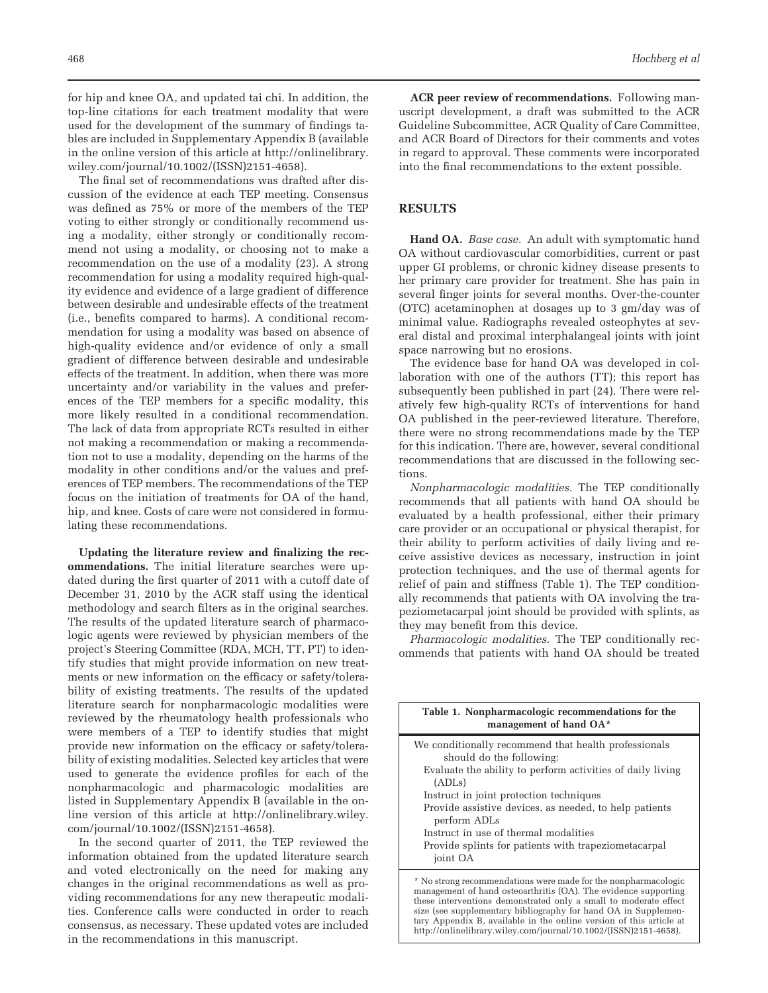for hip and knee OA, and updated tai chi. In addition, the top-line citations for each treatment modality that were used for the development of the summary of findings tables are included in Supplementary Appendix B (available in the online version of this article at http://onlinelibrary. wiley.com/journal/10.1002/(ISSN)2151-4658).

The final set of recommendations was drafted after discussion of the evidence at each TEP meeting. Consensus was defined as 75% or more of the members of the TEP voting to either strongly or conditionally recommend using a modality, either strongly or conditionally recommend not using a modality, or choosing not to make a recommendation on the use of a modality (23). A strong recommendation for using a modality required high-quality evidence and evidence of a large gradient of difference between desirable and undesirable effects of the treatment (i.e., benefits compared to harms). A conditional recommendation for using a modality was based on absence of high-quality evidence and/or evidence of only a small gradient of difference between desirable and undesirable effects of the treatment. In addition, when there was more uncertainty and/or variability in the values and preferences of the TEP members for a specific modality, this more likely resulted in a conditional recommendation. The lack of data from appropriate RCTs resulted in either not making a recommendation or making a recommendation not to use a modality, depending on the harms of the modality in other conditions and/or the values and preferences of TEP members. The recommendations of the TEP focus on the initiation of treatments for OA of the hand, hip, and knee. Costs of care were not considered in formulating these recommendations.

**Updating the literature review and finalizing the recommendations.** The initial literature searches were updated during the first quarter of 2011 with a cutoff date of December 31, 2010 by the ACR staff using the identical methodology and search filters as in the original searches. The results of the updated literature search of pharmacologic agents were reviewed by physician members of the project's Steering Committee (RDA, MCH, TT, PT) to identify studies that might provide information on new treatments or new information on the efficacy or safety/tolerability of existing treatments. The results of the updated literature search for nonpharmacologic modalities were reviewed by the rheumatology health professionals who were members of a TEP to identify studies that might provide new information on the efficacy or safety/tolerability of existing modalities. Selected key articles that were used to generate the evidence profiles for each of the nonpharmacologic and pharmacologic modalities are listed in Supplementary Appendix B (available in the online version of this article at http://onlinelibrary.wiley. com/journal/10.1002/(ISSN)2151-4658).

In the second quarter of 2011, the TEP reviewed the information obtained from the updated literature search and voted electronically on the need for making any changes in the original recommendations as well as providing recommendations for any new therapeutic modalities. Conference calls were conducted in order to reach consensus, as necessary. These updated votes are included in the recommendations in this manuscript.

**ACR peer review of recommendations.** Following manuscript development, a draft was submitted to the ACR Guideline Subcommittee, ACR Quality of Care Committee, and ACR Board of Directors for their comments and votes in regard to approval. These comments were incorporated into the final recommendations to the extent possible.

## **RESULTS**

**Hand OA.** *Base case.* An adult with symptomatic hand OA without cardiovascular comorbidities, current or past upper GI problems, or chronic kidney disease presents to her primary care provider for treatment. She has pain in several finger joints for several months. Over-the-counter (OTC) acetaminophen at dosages up to 3 gm/day was of minimal value. Radiographs revealed osteophytes at several distal and proximal interphalangeal joints with joint space narrowing but no erosions.

The evidence base for hand OA was developed in collaboration with one of the authors (TT); this report has subsequently been published in part (24). There were relatively few high-quality RCTs of interventions for hand OA published in the peer-reviewed literature. Therefore, there were no strong recommendations made by the TEP for this indication. There are, however, several conditional recommendations that are discussed in the following sections.

*Nonpharmacologic modalities.* The TEP conditionally recommends that all patients with hand OA should be evaluated by a health professional, either their primary care provider or an occupational or physical therapist, for their ability to perform activities of daily living and receive assistive devices as necessary, instruction in joint protection techniques, and the use of thermal agents for relief of pain and stiffness (Table 1). The TEP conditionally recommends that patients with OA involving the trapeziometacarpal joint should be provided with splints, as they may benefit from this device.

*Pharmacologic modalities.* The TEP conditionally recommends that patients with hand OA should be treated

| Table 1. Nonpharmacologic recommendations for the                                                                                                                                                                                                                                                                                              |
|------------------------------------------------------------------------------------------------------------------------------------------------------------------------------------------------------------------------------------------------------------------------------------------------------------------------------------------------|
| management of hand OA*                                                                                                                                                                                                                                                                                                                         |
| We conditionally recommend that health professionals<br>should do the following:<br>Evaluate the ability to perform activities of daily living<br>(ADLs)<br>Instruct in joint protection techniques<br>Provide assistive devices, as needed, to help patients<br>perform ADLs<br>Instruct in use of thermal modalities                         |
| Provide splints for patients with trapeziometacarpal<br>joint OA                                                                                                                                                                                                                                                                               |
| * No strong recommendations were made for the nonpharmacologic<br>management of hand osteoarthritis (OA). The evidence supporting<br>these interventions demonstrated only a small to moderate effect<br>size (see supplementary bibliography for hand OA in Supplemen-<br>tary Appendix B, available in the online version of this article at |

http://onlinelibrary.wiley.com/journal/10.1002/(ISSN)2151-4658).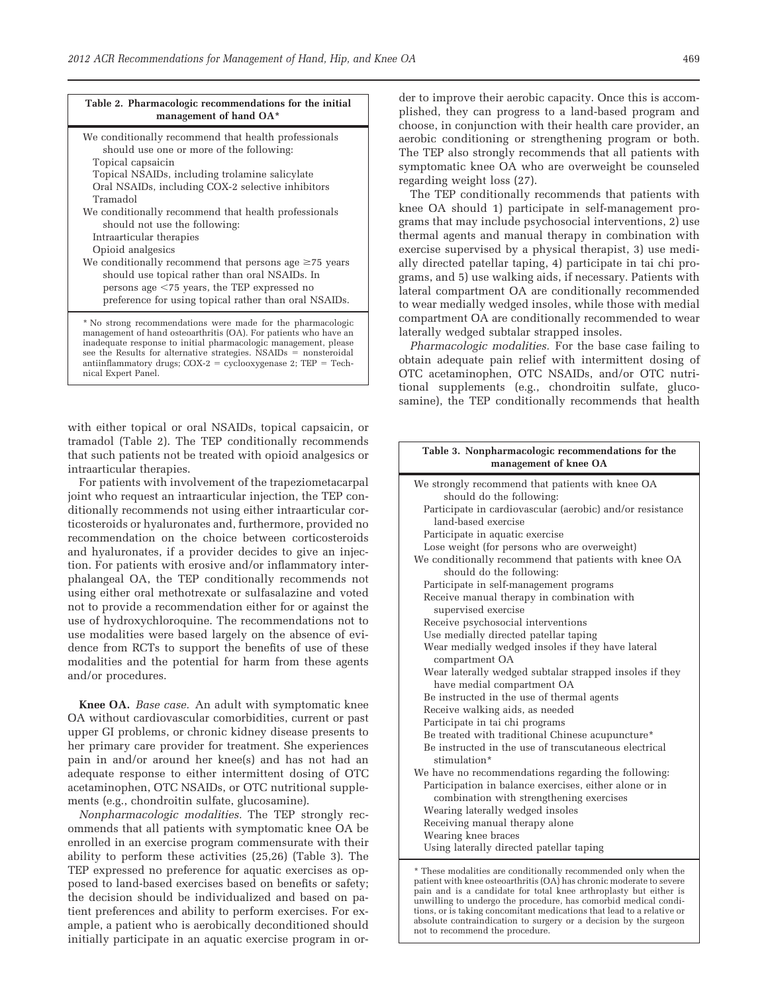#### **Table 2. Pharmacologic recommendations for the initial management of hand OA\***

| We conditionally recommend that health professionals<br>should use one or more of the following:<br>Topical capsaicin<br>Topical NSAIDs, including trolamine salicylate<br>Oral NSAIDs, including COX-2 selective inhibitors<br>Tramadol<br>We conditionally recommend that health professionals<br>should not use the following:<br>Intraarticular therapies<br>Opioid analgesics<br>We conditionally recommend that persons age $\geq 75$ years<br>should use topical rather than oral NSAIDs. In<br>persons age $\leq 75$ years, the TEP expressed no<br>preference for using topical rather than oral NSAIDs. |
|-------------------------------------------------------------------------------------------------------------------------------------------------------------------------------------------------------------------------------------------------------------------------------------------------------------------------------------------------------------------------------------------------------------------------------------------------------------------------------------------------------------------------------------------------------------------------------------------------------------------|
| * No strong recommendations were made for the pharmacologic<br>management of hand osteoarthritis (OA). For patients who have an<br>inadequate response to initial pharmacologic management, please<br>see the Results for alternative strategies. $NSAIDs = nonsteroidal$<br>antiinflammatory drugs; $COX-2$ = cyclooxygenase 2; $TEP$ = Tech-                                                                                                                                                                                                                                                                    |

with either topical or oral NSAIDs, topical capsaicin, or tramadol (Table 2). The TEP conditionally recommends that such patients not be treated with opioid analgesics or intraarticular therapies.

nical Expert Panel.

For patients with involvement of the trapeziometacarpal joint who request an intraarticular injection, the TEP conditionally recommends not using either intraarticular corticosteroids or hyaluronates and, furthermore, provided no recommendation on the choice between corticosteroids and hyaluronates, if a provider decides to give an injection. For patients with erosive and/or inflammatory interphalangeal OA, the TEP conditionally recommends not using either oral methotrexate or sulfasalazine and voted not to provide a recommendation either for or against the use of hydroxychloroquine. The recommendations not to use modalities were based largely on the absence of evidence from RCTs to support the benefits of use of these modalities and the potential for harm from these agents and/or procedures.

**Knee OA.** *Base case.* An adult with symptomatic knee OA without cardiovascular comorbidities, current or past upper GI problems, or chronic kidney disease presents to her primary care provider for treatment. She experiences pain in and/or around her knee(s) and has not had an adequate response to either intermittent dosing of OTC acetaminophen, OTC NSAIDs, or OTC nutritional supplements (e.g., chondroitin sulfate, glucosamine).

*Nonpharmacologic modalities.* The TEP strongly recommends that all patients with symptomatic knee OA be enrolled in an exercise program commensurate with their ability to perform these activities (25,26) (Table 3). The TEP expressed no preference for aquatic exercises as opposed to land-based exercises based on benefits or safety; the decision should be individualized and based on patient preferences and ability to perform exercises. For example, a patient who is aerobically deconditioned should initially participate in an aquatic exercise program in or-

der to improve their aerobic capacity. Once this is accomplished, they can progress to a land-based program and choose, in conjunction with their health care provider, an aerobic conditioning or strengthening program or both. The TEP also strongly recommends that all patients with symptomatic knee OA who are overweight be counseled regarding weight loss (27).

The TEP conditionally recommends that patients with knee OA should 1) participate in self-management programs that may include psychosocial interventions, 2) use thermal agents and manual therapy in combination with exercise supervised by a physical therapist, 3) use medially directed patellar taping, 4) participate in tai chi programs, and 5) use walking aids, if necessary. Patients with lateral compartment OA are conditionally recommended to wear medially wedged insoles, while those with medial compartment OA are conditionally recommended to wear laterally wedged subtalar strapped insoles.

*Pharmacologic modalities.* For the base case failing to obtain adequate pain relief with intermittent dosing of OTC acetaminophen, OTC NSAIDs, and/or OTC nutritional supplements (e.g., chondroitin sulfate, glucosamine), the TEP conditionally recommends that health

| Table 3. Nonpharmacologic recommendations for the<br>management of knee OA            |
|---------------------------------------------------------------------------------------|
| We strongly recommend that patients with knee OA<br>should do the following:          |
| Participate in cardiovascular (aerobic) and/or resistance<br>land-based exercise      |
| Participate in aquatic exercise                                                       |
| Lose weight (for persons who are overweight)                                          |
| We conditionally recommend that patients with knee OA<br>should do the following:     |
| Participate in self-management programs                                               |
| Receive manual therapy in combination with                                            |
| supervised exercise                                                                   |
| Receive psychosocial interventions                                                    |
| Use medially directed patellar taping                                                 |
| Wear medially wedged insoles if they have lateral<br>compartment OA                   |
| Wear laterally wedged subtalar strapped insoles if they<br>have medial compartment OA |
| Be instructed in the use of thermal agents                                            |
| Receive walking aids, as needed                                                       |
| Participate in tai chi programs                                                       |
| Be treated with traditional Chinese acupuncture*                                      |
| Be instructed in the use of transcutaneous electrical<br>stimulation*                 |
| We have no recommendations regarding the following:                                   |
| Participation in balance exercises, either alone or in                                |
| combination with strengthening exercises                                              |
| Wearing laterally wedged insoles                                                      |
| Receiving manual therapy alone                                                        |
| Wearing knee braces                                                                   |
| Using laterally directed patellar taping                                              |

\* These modalities are conditionally recommended only when the patient with knee osteoarthritis (OA) has chronic moderate to severe pain and is a candidate for total knee arthroplasty but either is unwilling to undergo the procedure, has comorbid medical conditions, or is taking concomitant medications that lead to a relative or absolute contraindication to surgery or a decision by the surgeon not to recommend the procedure.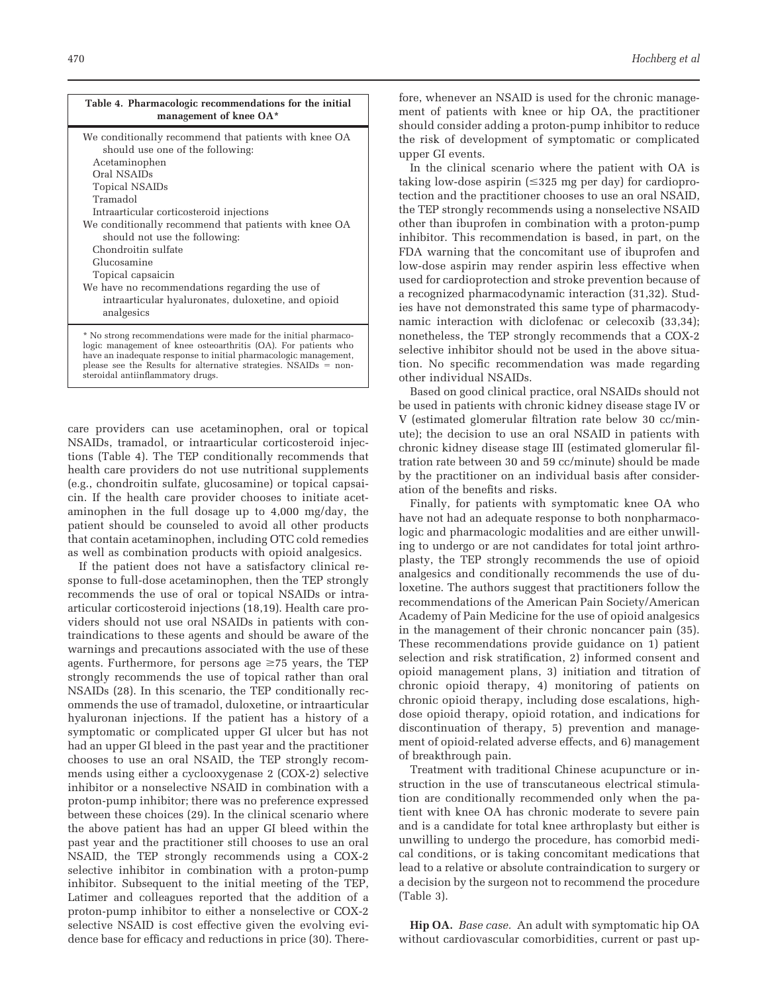| Table 4. Pharmacologic recommendations for the initial<br>management of knee OA*                                                                                                                                                                                                                                                                                                                                                                                                        |
|-----------------------------------------------------------------------------------------------------------------------------------------------------------------------------------------------------------------------------------------------------------------------------------------------------------------------------------------------------------------------------------------------------------------------------------------------------------------------------------------|
| We conditionally recommend that patients with knee OA<br>should use one of the following:<br>Acetaminophen<br>Oral NSAIDs<br><b>Topical NSAIDs</b><br>Tramadol<br>Intraarticular corticosteroid injections<br>We conditionally recommend that patients with knee OA<br>should not use the following:<br>Chondroitin sulfate<br>Glucosamine<br>Topical capsaicin<br>We have no recommendations regarding the use of<br>intraarticular hyaluronates, duloxetine, and opioid<br>analgesics |
| * No strong recommendations were made for the initial pharmaco-<br>logic management of knee osteoarthritis (OA). For patients who<br>have an inadequate response to initial pharmacologic management,                                                                                                                                                                                                                                                                                   |

please see the Results for alternative strategies. NSAIDs = nonsteroidal antiinflammatory drugs.

care providers can use acetaminophen, oral or topical NSAIDs, tramadol, or intraarticular corticosteroid injections (Table 4). The TEP conditionally recommends that health care providers do not use nutritional supplements (e.g., chondroitin sulfate, glucosamine) or topical capsaicin. If the health care provider chooses to initiate acetaminophen in the full dosage up to 4,000 mg/day, the patient should be counseled to avoid all other products that contain acetaminophen, including OTC cold remedies as well as combination products with opioid analgesics.

If the patient does not have a satisfactory clinical response to full-dose acetaminophen, then the TEP strongly recommends the use of oral or topical NSAIDs or intraarticular corticosteroid injections (18,19). Health care providers should not use oral NSAIDs in patients with contraindications to these agents and should be aware of the warnings and precautions associated with the use of these agents. Furthermore, for persons age  $\geq$ 75 years, the TEP strongly recommends the use of topical rather than oral NSAIDs (28). In this scenario, the TEP conditionally recommends the use of tramadol, duloxetine, or intraarticular hyaluronan injections. If the patient has a history of a symptomatic or complicated upper GI ulcer but has not had an upper GI bleed in the past year and the practitioner chooses to use an oral NSAID, the TEP strongly recommends using either a cyclooxygenase 2 (COX-2) selective inhibitor or a nonselective NSAID in combination with a proton-pump inhibitor; there was no preference expressed between these choices (29). In the clinical scenario where the above patient has had an upper GI bleed within the past year and the practitioner still chooses to use an oral NSAID, the TEP strongly recommends using a COX-2 selective inhibitor in combination with a proton-pump inhibitor. Subsequent to the initial meeting of the TEP, Latimer and colleagues reported that the addition of a proton-pump inhibitor to either a nonselective or COX-2 selective NSAID is cost effective given the evolving evidence base for efficacy and reductions in price (30). There-

fore, whenever an NSAID is used for the chronic management of patients with knee or hip OA, the practitioner should consider adding a proton-pump inhibitor to reduce the risk of development of symptomatic or complicated upper GI events.

In the clinical scenario where the patient with OA is taking low-dose aspirin  $(\leq 325 \text{ mg per day})$  for cardioprotection and the practitioner chooses to use an oral NSAID, the TEP strongly recommends using a nonselective NSAID other than ibuprofen in combination with a proton-pump inhibitor. This recommendation is based, in part, on the FDA warning that the concomitant use of ibuprofen and low-dose aspirin may render aspirin less effective when used for cardioprotection and stroke prevention because of a recognized pharmacodynamic interaction (31,32). Studies have not demonstrated this same type of pharmacodynamic interaction with diclofenac or celecoxib (33,34); nonetheless, the TEP strongly recommends that a COX-2 selective inhibitor should not be used in the above situation. No specific recommendation was made regarding other individual NSAIDs.

Based on good clinical practice, oral NSAIDs should not be used in patients with chronic kidney disease stage IV or V (estimated glomerular filtration rate below 30 cc/minute); the decision to use an oral NSAID in patients with chronic kidney disease stage III (estimated glomerular filtration rate between 30 and 59 cc/minute) should be made by the practitioner on an individual basis after consideration of the benefits and risks.

Finally, for patients with symptomatic knee OA who have not had an adequate response to both nonpharmacologic and pharmacologic modalities and are either unwilling to undergo or are not candidates for total joint arthroplasty, the TEP strongly recommends the use of opioid analgesics and conditionally recommends the use of duloxetine. The authors suggest that practitioners follow the recommendations of the American Pain Society/American Academy of Pain Medicine for the use of opioid analgesics in the management of their chronic noncancer pain (35). These recommendations provide guidance on 1) patient selection and risk stratification, 2) informed consent and opioid management plans, 3) initiation and titration of chronic opioid therapy, 4) monitoring of patients on chronic opioid therapy, including dose escalations, highdose opioid therapy, opioid rotation, and indications for discontinuation of therapy, 5) prevention and management of opioid-related adverse effects, and 6) management of breakthrough pain.

Treatment with traditional Chinese acupuncture or instruction in the use of transcutaneous electrical stimulation are conditionally recommended only when the patient with knee OA has chronic moderate to severe pain and is a candidate for total knee arthroplasty but either is unwilling to undergo the procedure, has comorbid medical conditions, or is taking concomitant medications that lead to a relative or absolute contraindication to surgery or a decision by the surgeon not to recommend the procedure (Table 3).

**Hip OA.** *Base case.* An adult with symptomatic hip OA without cardiovascular comorbidities, current or past up-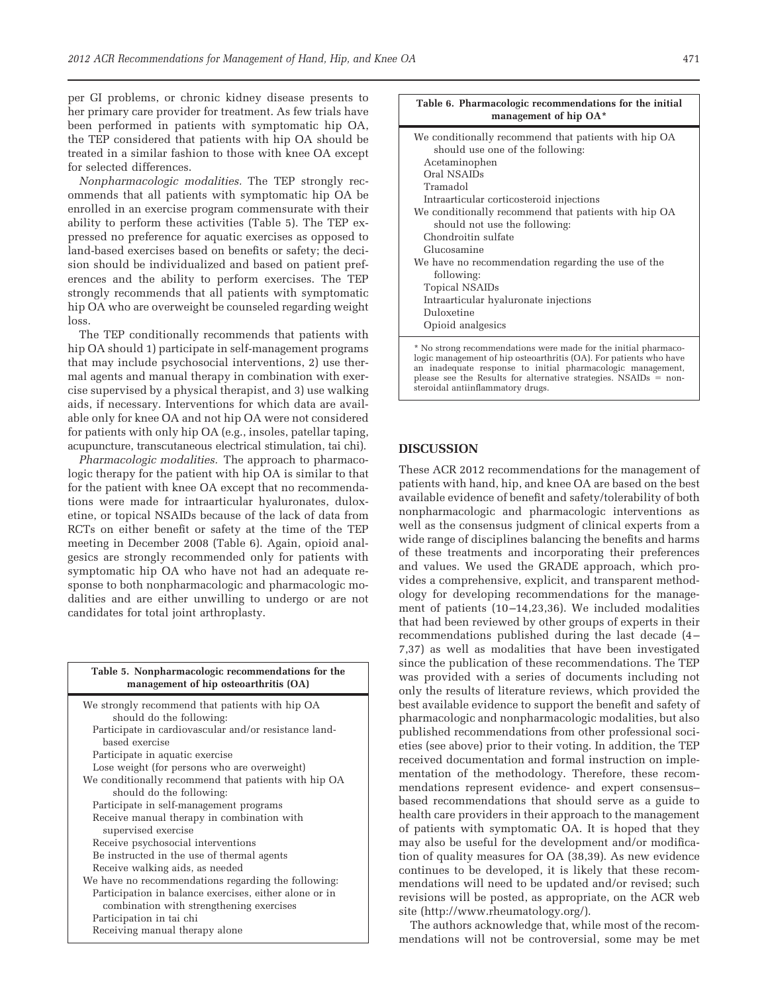per GI problems, or chronic kidney disease presents to her primary care provider for treatment. As few trials have been performed in patients with symptomatic hip OA, the TEP considered that patients with hip OA should be treated in a similar fashion to those with knee OA except for selected differences.

*Nonpharmacologic modalities.* The TEP strongly recommends that all patients with symptomatic hip OA be enrolled in an exercise program commensurate with their ability to perform these activities (Table 5). The TEP expressed no preference for aquatic exercises as opposed to land-based exercises based on benefits or safety; the decision should be individualized and based on patient preferences and the ability to perform exercises. The TEP strongly recommends that all patients with symptomatic hip OA who are overweight be counseled regarding weight loss.

The TEP conditionally recommends that patients with hip OA should 1) participate in self-management programs that may include psychosocial interventions, 2) use thermal agents and manual therapy in combination with exercise supervised by a physical therapist, and 3) use walking aids, if necessary. Interventions for which data are available only for knee OA and not hip OA were not considered for patients with only hip OA (e.g., insoles, patellar taping, acupuncture, transcutaneous electrical stimulation, tai chi).

*Pharmacologic modalities.* The approach to pharmacologic therapy for the patient with hip OA is similar to that for the patient with knee OA except that no recommendations were made for intraarticular hyaluronates, duloxetine, or topical NSAIDs because of the lack of data from RCTs on either benefit or safety at the time of the TEP meeting in December 2008 (Table 6). Again, opioid analgesics are strongly recommended only for patients with symptomatic hip OA who have not had an adequate response to both nonpharmacologic and pharmacologic modalities and are either unwilling to undergo or are not candidates for total joint arthroplasty.

| Table 5. Nonpharmacologic recommendations for the<br>management of hip osteoarthritis (OA) |
|--------------------------------------------------------------------------------------------|
| We strongly recommend that patients with hip OA                                            |
| should do the following:                                                                   |
| Participate in cardiovascular and/or resistance land-                                      |
| based exercise                                                                             |
| Participate in aquatic exercise                                                            |
| Lose weight (for persons who are overweight)                                               |
| We conditionally recommend that patients with hip OA                                       |
| should do the following:                                                                   |
| Participate in self-management programs                                                    |
| Receive manual therapy in combination with                                                 |
| supervised exercise                                                                        |
| Receive psychosocial interventions                                                         |
| Be instructed in the use of thermal agents                                                 |
| Receive walking aids, as needed                                                            |
| We have no recommendations regarding the following:                                        |
| Participation in balance exercises, either alone or in                                     |
| combination with strengthening exercises                                                   |
| Participation in tai chi                                                                   |
| Receiving manual therapy alone                                                             |
|                                                                                            |

| management of hip OA*                                                                                                                                      |
|------------------------------------------------------------------------------------------------------------------------------------------------------------|
| We conditionally recommend that patients with hip OA<br>should use one of the following:                                                                   |
| Acetaminophen                                                                                                                                              |
| Oral NSAIDs                                                                                                                                                |
| Tramadol                                                                                                                                                   |
| Intraarticular corticosteroid injections                                                                                                                   |
| We conditionally recommend that patients with hip OA                                                                                                       |
| should not use the following:                                                                                                                              |
| Chondroitin sulfate                                                                                                                                        |
| Glucosamine                                                                                                                                                |
| We have no recommendation regarding the use of the                                                                                                         |
| following:                                                                                                                                                 |
| <b>Topical NSAIDs</b>                                                                                                                                      |
| Intraarticular hyaluronate injections                                                                                                                      |
| Duloxetine                                                                                                                                                 |
| Opioid analgesics                                                                                                                                          |
| * No strong recommendations were made for the initial pharmaco-<br>$l$ ogio menogoment of bin osteoenthuitie $(\bigcap \Lambda)$ . Een petiente vrho herro |

**Table 6. Pharmacologic recommendations for the initial**

 $\epsilon$ ment of hip osteoarthritis (OA). For patients who have an inadequate response to initial pharmacologic management, please see the Results for alternative strategies. NSAIDs nonsteroidal antiinflammatory drugs.

## **DISCUSSION**

These ACR 2012 recommendations for the management of patients with hand, hip, and knee OA are based on the best available evidence of benefit and safety/tolerability of both nonpharmacologic and pharmacologic interventions as well as the consensus judgment of clinical experts from a wide range of disciplines balancing the benefits and harms of these treatments and incorporating their preferences and values. We used the GRADE approach, which provides a comprehensive, explicit, and transparent methodology for developing recommendations for the management of patients (10–14,23,36). We included modalities that had been reviewed by other groups of experts in their recommendations published during the last decade (4 – 7,37) as well as modalities that have been investigated since the publication of these recommendations. The TEP was provided with a series of documents including not only the results of literature reviews, which provided the best available evidence to support the benefit and safety of pharmacologic and nonpharmacologic modalities, but also published recommendations from other professional societies (see above) prior to their voting. In addition, the TEP received documentation and formal instruction on implementation of the methodology. Therefore, these recommendations represent evidence- and expert consensus– based recommendations that should serve as a guide to health care providers in their approach to the management of patients with symptomatic OA. It is hoped that they may also be useful for the development and/or modification of quality measures for OA (38,39). As new evidence continues to be developed, it is likely that these recommendations will need to be updated and/or revised; such revisions will be posted, as appropriate, on the ACR web site (http://www.rheumatology.org/).

The authors acknowledge that, while most of the recommendations will not be controversial, some may be met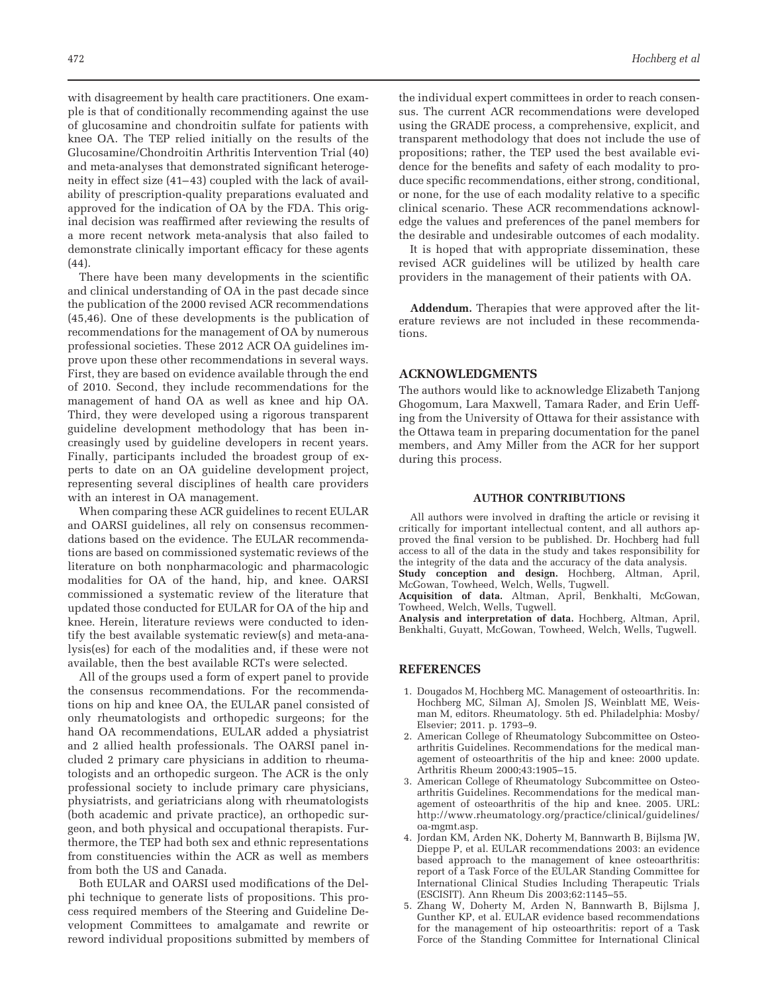with disagreement by health care practitioners. One example is that of conditionally recommending against the use of glucosamine and chondroitin sulfate for patients with knee OA. The TEP relied initially on the results of the Glucosamine/Chondroitin Arthritis Intervention Trial (40) and meta-analyses that demonstrated significant heterogeneity in effect size (41–43) coupled with the lack of availability of prescription-quality preparations evaluated and approved for the indication of OA by the FDA. This original decision was reaffirmed after reviewing the results of a more recent network meta-analysis that also failed to demonstrate clinically important efficacy for these agents (44).

There have been many developments in the scientific and clinical understanding of OA in the past decade since the publication of the 2000 revised ACR recommendations (45,46). One of these developments is the publication of recommendations for the management of OA by numerous professional societies. These 2012 ACR OA guidelines improve upon these other recommendations in several ways. First, they are based on evidence available through the end of 2010. Second, they include recommendations for the management of hand OA as well as knee and hip OA. Third, they were developed using a rigorous transparent guideline development methodology that has been increasingly used by guideline developers in recent years. Finally, participants included the broadest group of experts to date on an OA guideline development project, representing several disciplines of health care providers with an interest in OA management.

When comparing these ACR guidelines to recent EULAR and OARSI guidelines, all rely on consensus recommendations based on the evidence. The EULAR recommendations are based on commissioned systematic reviews of the literature on both nonpharmacologic and pharmacologic modalities for OA of the hand, hip, and knee. OARSI commissioned a systematic review of the literature that updated those conducted for EULAR for OA of the hip and knee. Herein, literature reviews were conducted to identify the best available systematic review(s) and meta-analysis(es) for each of the modalities and, if these were not available, then the best available RCTs were selected.

All of the groups used a form of expert panel to provide the consensus recommendations. For the recommendations on hip and knee OA, the EULAR panel consisted of only rheumatologists and orthopedic surgeons; for the hand OA recommendations, EULAR added a physiatrist and 2 allied health professionals. The OARSI panel included 2 primary care physicians in addition to rheumatologists and an orthopedic surgeon. The ACR is the only professional society to include primary care physicians, physiatrists, and geriatricians along with rheumatologists (both academic and private practice), an orthopedic surgeon, and both physical and occupational therapists. Furthermore, the TEP had both sex and ethnic representations from constituencies within the ACR as well as members from both the US and Canada.

Both EULAR and OARSI used modifications of the Delphi technique to generate lists of propositions. This process required members of the Steering and Guideline Development Committees to amalgamate and rewrite or reword individual propositions submitted by members of the individual expert committees in order to reach consensus. The current ACR recommendations were developed using the GRADE process, a comprehensive, explicit, and transparent methodology that does not include the use of propositions; rather, the TEP used the best available evidence for the benefits and safety of each modality to produce specific recommendations, either strong, conditional, or none, for the use of each modality relative to a specific clinical scenario. These ACR recommendations acknowledge the values and preferences of the panel members for the desirable and undesirable outcomes of each modality.

It is hoped that with appropriate dissemination, these revised ACR guidelines will be utilized by health care providers in the management of their patients with OA.

**Addendum.** Therapies that were approved after the literature reviews are not included in these recommendations.

#### **ACKNOWLEDGMENTS**

The authors would like to acknowledge Elizabeth Tanjong Ghogomum, Lara Maxwell, Tamara Rader, and Erin Ueffing from the University of Ottawa for their assistance with the Ottawa team in preparing documentation for the panel members, and Amy Miller from the ACR for her support during this process.

#### **AUTHOR CONTRIBUTIONS**

All authors were involved in drafting the article or revising it critically for important intellectual content, and all authors approved the final version to be published. Dr. Hochberg had full access to all of the data in the study and takes responsibility for the integrity of the data and the accuracy of the data analysis.

**Study conception and design.** Hochberg, Altman, April, McGowan, Towheed, Welch, Wells, Tugwell.

**Acquisition of data.** Altman, April, Benkhalti, McGowan, Towheed, Welch, Wells, Tugwell.

**Analysis and interpretation of data.** Hochberg, Altman, April, Benkhalti, Guyatt, McGowan, Towheed, Welch, Wells, Tugwell.

### **REFERENCES**

- 1. Dougados M, Hochberg MC. Management of osteoarthritis. In: Hochberg MC, Silman AJ, Smolen JS, Weinblatt ME, Weisman M, editors. Rheumatology. 5th ed. Philadelphia: Mosby/ Elsevier; 2011. p. 1793–9.
- 2. American College of Rheumatology Subcommittee on Osteoarthritis Guidelines. Recommendations for the medical management of osteoarthritis of the hip and knee: 2000 update. Arthritis Rheum 2000;43:1905–15.
- 3. American College of Rheumatology Subcommittee on Osteoarthritis Guidelines. Recommendations for the medical management of osteoarthritis of the hip and knee. 2005. URL: http://www.rheumatology.org/practice/clinical/guidelines/ oa-mgmt.asp.
- 4. Jordan KM, Arden NK, Doherty M, Bannwarth B, Bijlsma JW, Dieppe P, et al. EULAR recommendations 2003: an evidence based approach to the management of knee osteoarthritis: report of a Task Force of the EULAR Standing Committee for International Clinical Studies Including Therapeutic Trials (ESCISIT). Ann Rheum Dis 2003;62:1145–55.
- 5. Zhang W, Doherty M, Arden N, Bannwarth B, Bijlsma J, Gunther KP, et al. EULAR evidence based recommendations for the management of hip osteoarthritis: report of a Task Force of the Standing Committee for International Clinical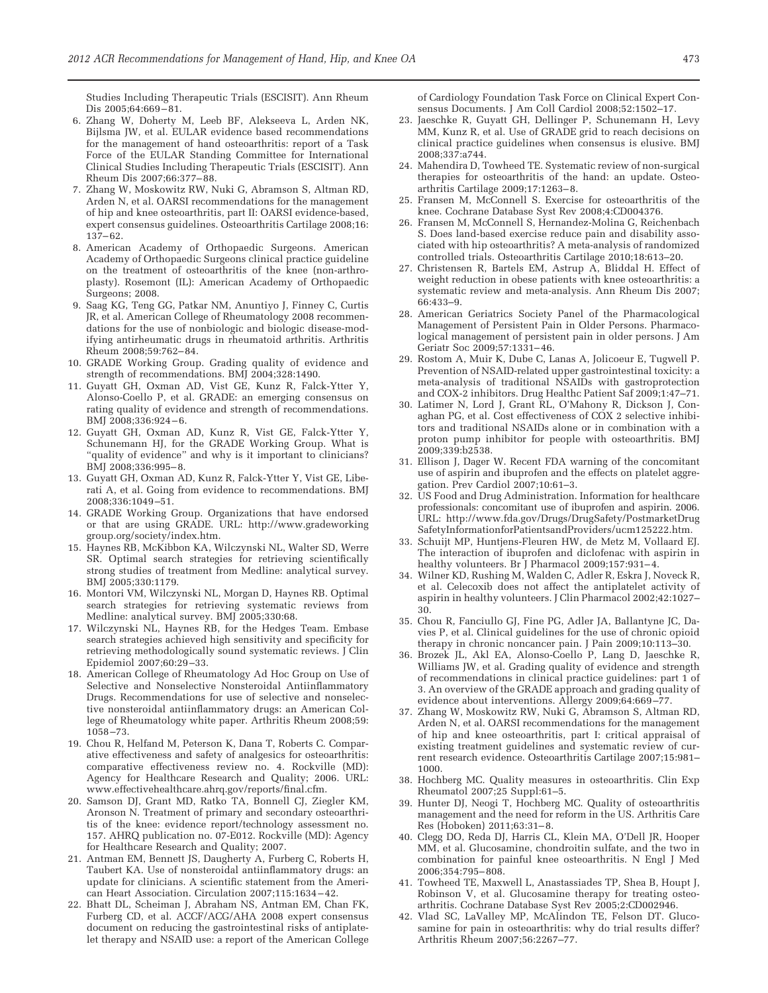Studies Including Therapeutic Trials (ESCISIT). Ann Rheum Dis 2005;64:669 – 81.

- 6. Zhang W, Doherty M, Leeb BF, Alekseeva L, Arden NK, Bijlsma JW, et al. EULAR evidence based recommendations for the management of hand osteoarthritis: report of a Task Force of the EULAR Standing Committee for International Clinical Studies Including Therapeutic Trials (ESCISIT). Ann Rheum Dis 2007;66:377– 88.
- 7. Zhang W, Moskowitz RW, Nuki G, Abramson S, Altman RD, Arden N, et al. OARSI recommendations for the management of hip and knee osteoarthritis, part II: OARSI evidence-based, expert consensus guidelines. Osteoarthritis Cartilage 2008;16: 137– 62.
- 8. American Academy of Orthopaedic Surgeons. American Academy of Orthopaedic Surgeons clinical practice guideline on the treatment of osteoarthritis of the knee (non-arthroplasty). Rosemont (IL): American Academy of Orthopaedic Surgeons; 2008.
- 9. Saag KG, Teng GG, Patkar NM, Anuntiyo J, Finney C, Curtis JR, et al. American College of Rheumatology 2008 recommendations for the use of nonbiologic and biologic disease-modifying antirheumatic drugs in rheumatoid arthritis. Arthritis Rheum 2008;59:762– 84.
- 10. GRADE Working Group. Grading quality of evidence and strength of recommendations. BMJ 2004;328:1490.
- 11. Guyatt GH, Oxman AD, Vist GE, Kunz R, Falck-Ytter Y, Alonso-Coello P, et al. GRADE: an emerging consensus on rating quality of evidence and strength of recommendations. BMJ 2008;336:924-6.
- 12. Guyatt GH, Oxman AD, Kunz R, Vist GE, Falck-Ytter Y, Schunemann HJ, for the GRADE Working Group. What is "quality of evidence" and why is it important to clinicians? BMJ 2008;336:995– 8.
- 13. Guyatt GH, Oxman AD, Kunz R, Falck-Ytter Y, Vist GE, Liberati A, et al. Going from evidence to recommendations. BMJ 2008;336:1049 –51.
- 14. GRADE Working Group. Organizations that have endorsed or that are using GRADE. URL: http://www.gradeworking group.org/society/index.htm.
- 15. Haynes RB, McKibbon KA, Wilczynski NL, Walter SD, Werre SR. Optimal search strategies for retrieving scientifically strong studies of treatment from Medline: analytical survey. BMJ 2005;330:1179.
- 16. Montori VM, Wilczynski NL, Morgan D, Haynes RB. Optimal search strategies for retrieving systematic reviews from Medline: analytical survey. BMJ 2005;330:68.
- 17. Wilczynski NL, Haynes RB, for the Hedges Team. Embase search strategies achieved high sensitivity and specificity for retrieving methodologically sound systematic reviews. J Clin Epidemiol 2007;60:29 –33.
- 18. American College of Rheumatology Ad Hoc Group on Use of Selective and Nonselective Nonsteroidal Antiinflammatory Drugs. Recommendations for use of selective and nonselective nonsteroidal antiinflammatory drugs: an American College of Rheumatology white paper. Arthritis Rheum 2008;59: 1058 –73.
- 19. Chou R, Helfand M, Peterson K, Dana T, Roberts C. Comparative effectiveness and safety of analgesics for osteoarthritis: comparative effectiveness review no. 4. Rockville (MD): Agency for Healthcare Research and Quality; 2006. URL: www.effectivehealthcare.ahrq.gov/reports/final.cfm.
- 20. Samson DJ, Grant MD, Ratko TA, Bonnell CJ, Ziegler KM, Aronson N. Treatment of primary and secondary osteoarthritis of the knee: evidence report/technology assessment no. 157. AHRQ publication no. 07-E012. Rockville (MD): Agency for Healthcare Research and Quality; 2007.
- 21. Antman EM, Bennett JS, Daugherty A, Furberg C, Roberts H, Taubert KA. Use of nonsteroidal antiinflammatory drugs: an update for clinicians. A scientific statement from the American Heart Association. Circulation 2007;115:1634 – 42.
- 22. Bhatt DL, Scheiman J, Abraham NS, Antman EM, Chan FK, Furberg CD, et al. ACCF/ACG/AHA 2008 expert consensus document on reducing the gastrointestinal risks of antiplatelet therapy and NSAID use: a report of the American College

of Cardiology Foundation Task Force on Clinical Expert Consensus Documents. J Am Coll Cardiol 2008;52:1502–17.

- 23. Jaeschke R, Guyatt GH, Dellinger P, Schunemann H, Levy MM, Kunz R, et al. Use of GRADE grid to reach decisions on clinical practice guidelines when consensus is elusive. BMJ 2008;337:a744.
- 24. Mahendira D, Towheed TE. Systematic review of non-surgical therapies for osteoarthritis of the hand: an update. Osteoarthritis Cartilage 2009;17:1263– 8.
- 25. Fransen M, McConnell S. Exercise for osteoarthritis of the knee. Cochrane Database Syst Rev 2008;4:CD004376.
- 26. Fransen M, McConnell S, Hernandez-Molina G, Reichenbach S. Does land-based exercise reduce pain and disability associated with hip osteoarthritis? A meta-analysis of randomized controlled trials. Osteoarthritis Cartilage 2010;18:613–20.
- 27. Christensen R, Bartels EM, Astrup A, Bliddal H. Effect of weight reduction in obese patients with knee osteoarthritis: a systematic review and meta-analysis. Ann Rheum Dis 2007; 66:433–9.
- 28. American Geriatrics Society Panel of the Pharmacological Management of Persistent Pain in Older Persons. Pharmacological management of persistent pain in older persons. J Am Geriatr Soc 2009;57:1331– 46.
- 29. Rostom A, Muir K, Dube C, Lanas A, Jolicoeur E, Tugwell P. Prevention of NSAID-related upper gastrointestinal toxicity: a meta-analysis of traditional NSAIDs with gastroprotection and COX-2 inhibitors. Drug Healthc Patient Saf 2009;1:47–71.
- 30. Latimer N, Lord J, Grant RL, O'Mahony R, Dickson J, Conaghan PG, et al. Cost effectiveness of COX 2 selective inhibitors and traditional NSAIDs alone or in combination with a proton pump inhibitor for people with osteoarthritis. BMJ 2009;339:b2538.
- 31. Ellison J, Dager W. Recent FDA warning of the concomitant use of aspirin and ibuprofen and the effects on platelet aggregation. Prev Cardiol 2007;10:61–3.
- 32. US Food and Drug Administration. Information for healthcare professionals: concomitant use of ibuprofen and aspirin. 2006. URL: http://www.fda.gov/Drugs/DrugSafety/PostmarketDrug SafetyInformationforPatientsandProviders/ucm125222.htm.
- 33. Schuijt MP, Huntjens-Fleuren HW, de Metz M, Vollaard EJ. The interaction of ibuprofen and diclofenac with aspirin in healthy volunteers. Br J Pharmacol 2009;157:931-4.
- 34. Wilner KD, Rushing M, Walden C, Adler R, Eskra J, Noveck R, et al. Celecoxib does not affect the antiplatelet activity of aspirin in healthy volunteers. J Clin Pharmacol 2002;42:1027– 30.
- 35. Chou R, Fanciullo GJ, Fine PG, Adler JA, Ballantyne JC, Davies P, et al. Clinical guidelines for the use of chronic opioid therapy in chronic noncancer pain. J Pain 2009;10:113–30.
- 36. Brozek JL, Akl EA, Alonso-Coello P, Lang D, Jaeschke R, Williams JW, et al. Grading quality of evidence and strength of recommendations in clinical practice guidelines: part 1 of 3. An overview of the GRADE approach and grading quality of evidence about interventions. Allergy 2009;64:669 –77.
- 37. Zhang W, Moskowitz RW, Nuki G, Abramson S, Altman RD, Arden N, et al. OARSI recommendations for the management of hip and knee osteoarthritis, part I: critical appraisal of existing treatment guidelines and systematic review of current research evidence. Osteoarthritis Cartilage 2007;15:981– 1000.
- 38. Hochberg MC. Quality measures in osteoarthritis. Clin Exp Rheumatol 2007;25 Suppl:61–5.
- 39. Hunter DJ, Neogi T, Hochberg MC. Quality of osteoarthritis management and the need for reform in the US. Arthritis Care Res (Hoboken) 2011;63:31– 8.
- 40. Clegg DO, Reda DJ, Harris CL, Klein MA, O'Dell JR, Hooper MM, et al. Glucosamine, chondroitin sulfate, and the two in combination for painful knee osteoarthritis. N Engl J Med 2006;354:795– 808.
- 41. Towheed TE, Maxwell L, Anastassiades TP, Shea B, Houpt J, Robinson V, et al. Glucosamine therapy for treating osteoarthritis. Cochrane Database Syst Rev 2005;2:CD002946.
- 42. Vlad SC, LaValley MP, McAlindon TE, Felson DT. Glucosamine for pain in osteoarthritis: why do trial results differ? Arthritis Rheum 2007;56:2267–77.